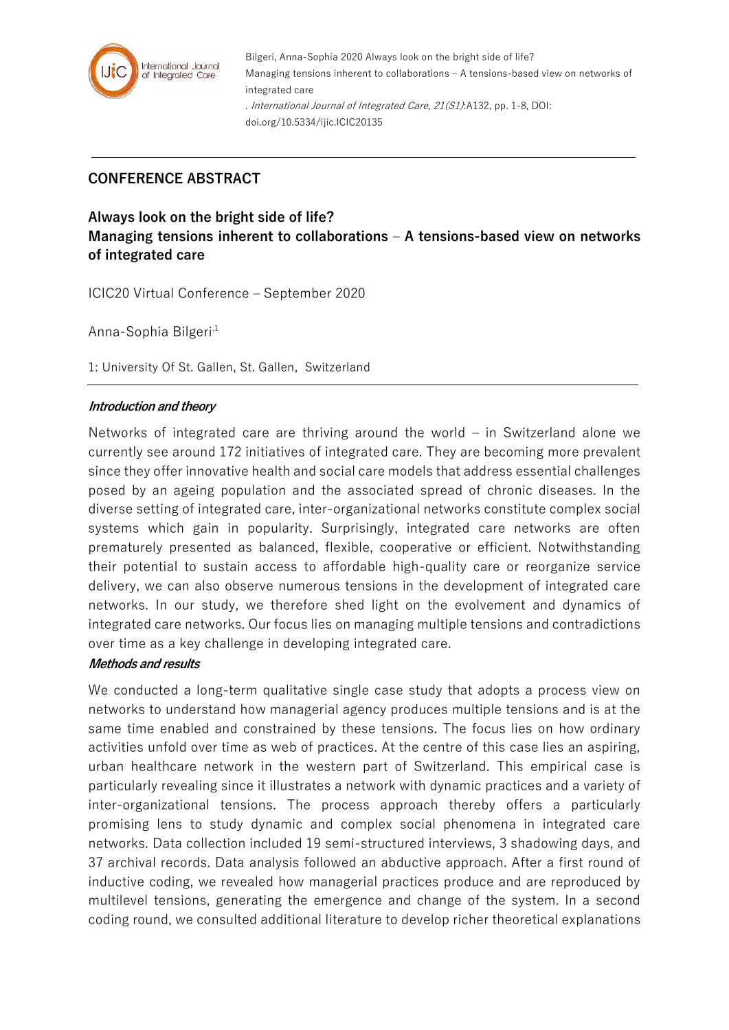

Bilgeri, Anna-Sophia 2020 Always look on the bright side of life? Managing tensions inherent to collaborations – A tensions-based view on networks of integrated care . International Journal of Integrated Care, 21(S1):A132, pp. 1-8, DOI: doi.org/10.5334/ijic.ICIC20135

# **CONFERENCE ABSTRACT**

**Always look on the bright side of life? Managing tensions inherent to collaborations – A tensions-based view on networks of integrated care**

ICIC20 Virtual Conference – September 2020

Anna-Sophia Bilgeri<sup>,1</sup>

1: University Of St. Gallen, St. Gallen, Switzerland

### **Introduction and theory**

Networks of integrated care are thriving around the world – in Switzerland alone we currently see around 172 initiatives of integrated care. They are becoming more prevalent since they offer innovative health and social care models that address essential challenges posed by an ageing population and the associated spread of chronic diseases. In the diverse setting of integrated care, inter-organizational networks constitute complex social systems which gain in popularity. Surprisingly, integrated care networks are often prematurely presented as balanced, flexible, cooperative or efficient. Notwithstanding their potential to sustain access to affordable high-quality care or reorganize service delivery, we can also observe numerous tensions in the development of integrated care networks. In our study, we therefore shed light on the evolvement and dynamics of integrated care networks. Our focus lies on managing multiple tensions and contradictions over time as a key challenge in developing integrated care.

### **Methods and results**

We conducted a long-term qualitative single case study that adopts a process view on networks to understand how managerial agency produces multiple tensions and is at the same time enabled and constrained by these tensions. The focus lies on how ordinary activities unfold over time as web of practices. At the centre of this case lies an aspiring, urban healthcare network in the western part of Switzerland. This empirical case is particularly revealing since it illustrates a network with dynamic practices and a variety of inter-organizational tensions. The process approach thereby offers a particularly promising lens to study dynamic and complex social phenomena in integrated care networks. Data collection included 19 semi-structured interviews, 3 shadowing days, and 37 archival records. Data analysis followed an abductive approach. After a first round of inductive coding, we revealed how managerial practices produce and are reproduced by multilevel tensions, generating the emergence and change of the system. In a second coding round, we consulted additional literature to develop richer theoretical explanations